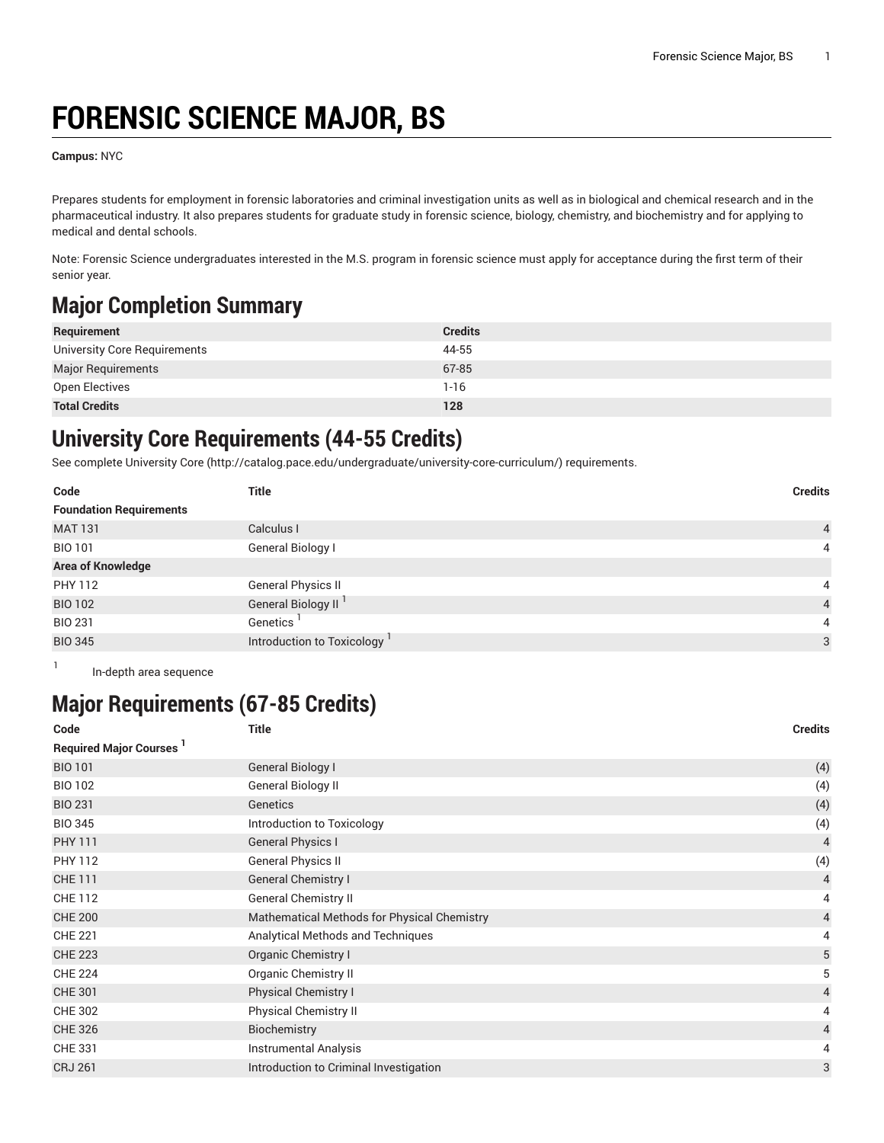# **FORENSIC SCIENCE MAJOR, BS**

**Campus:** NYC

Prepares students for employment in forensic laboratories and criminal investigation units as well as in biological and chemical research and in the pharmaceutical industry. It also prepares students for graduate study in forensic science, biology, chemistry, and biochemistry and for applying to medical and dental schools.

Note: Forensic Science undergraduates interested in the M.S. program in forensic science must apply for acceptance during the first term of their senior year.

## **Major Completion Summary**

| Requirement                  | <b>Credits</b> |
|------------------------------|----------------|
| University Core Requirements | 44-55          |
| <b>Major Requirements</b>    | 67-85          |
| Open Electives               | $1 - 16$       |
| <b>Total Credits</b>         | 128            |

#### **University Core Requirements (44-55 Credits)**

See complete [University](http://catalog.pace.edu/undergraduate/university-core-curriculum/) Core (<http://catalog.pace.edu/undergraduate/university-core-curriculum/>) requirements.

| Code                           | Title                                   | <b>Credits</b> |
|--------------------------------|-----------------------------------------|----------------|
| <b>Foundation Requirements</b> |                                         |                |
| <b>MAT 131</b>                 | Calculus I                              | $\overline{4}$ |
| <b>BIO 101</b>                 | General Biology I                       | $\overline{4}$ |
| <b>Area of Knowledge</b>       |                                         |                |
| <b>PHY 112</b>                 | <b>General Physics II</b>               | $\overline{4}$ |
| <b>BIO 102</b>                 | General Biology II <sup>1</sup>         | $\overline{4}$ |
| <b>BIO 231</b>                 | Genetics                                | $\overline{4}$ |
| <b>BIO 345</b>                 | Introduction to Toxicology <sup>1</sup> | $\mathbf{3}$   |

1 In-depth area sequence

## **Major Requirements (67-85 Credits)**

| Code                          | <b>Title</b>                                | <b>Credits</b>          |
|-------------------------------|---------------------------------------------|-------------------------|
| <b>Required Major Courses</b> |                                             |                         |
| <b>BIO 101</b>                | General Biology I                           | (4)                     |
| <b>BIO 102</b>                | General Biology II                          | (4)                     |
| <b>BIO 231</b>                | Genetics                                    | (4)                     |
| <b>BIO 345</b>                | Introduction to Toxicology                  | (4)                     |
| <b>PHY 111</b>                | <b>General Physics I</b>                    | $\overline{4}$          |
| <b>PHY 112</b>                | <b>General Physics II</b>                   | (4)                     |
| <b>CHE 111</b>                | <b>General Chemistry I</b>                  | $\overline{4}$          |
| <b>CHE 112</b>                | <b>General Chemistry II</b>                 | 4                       |
| <b>CHE 200</b>                | Mathematical Methods for Physical Chemistry | $\overline{\mathbf{4}}$ |
| <b>CHE 221</b>                | Analytical Methods and Techniques           | 4                       |
| <b>CHE 223</b>                | Organic Chemistry I                         | 5                       |
| <b>CHE 224</b>                | <b>Organic Chemistry II</b>                 | 5                       |
| <b>CHE 301</b>                | Physical Chemistry I                        | 4                       |
| <b>CHE 302</b>                | <b>Physical Chemistry II</b>                | 4                       |
| <b>CHE 326</b>                | Biochemistry                                | $\overline{4}$          |
| <b>CHE 331</b>                | <b>Instrumental Analysis</b>                | 4                       |
| <b>CRJ 261</b>                | Introduction to Criminal Investigation      | 3                       |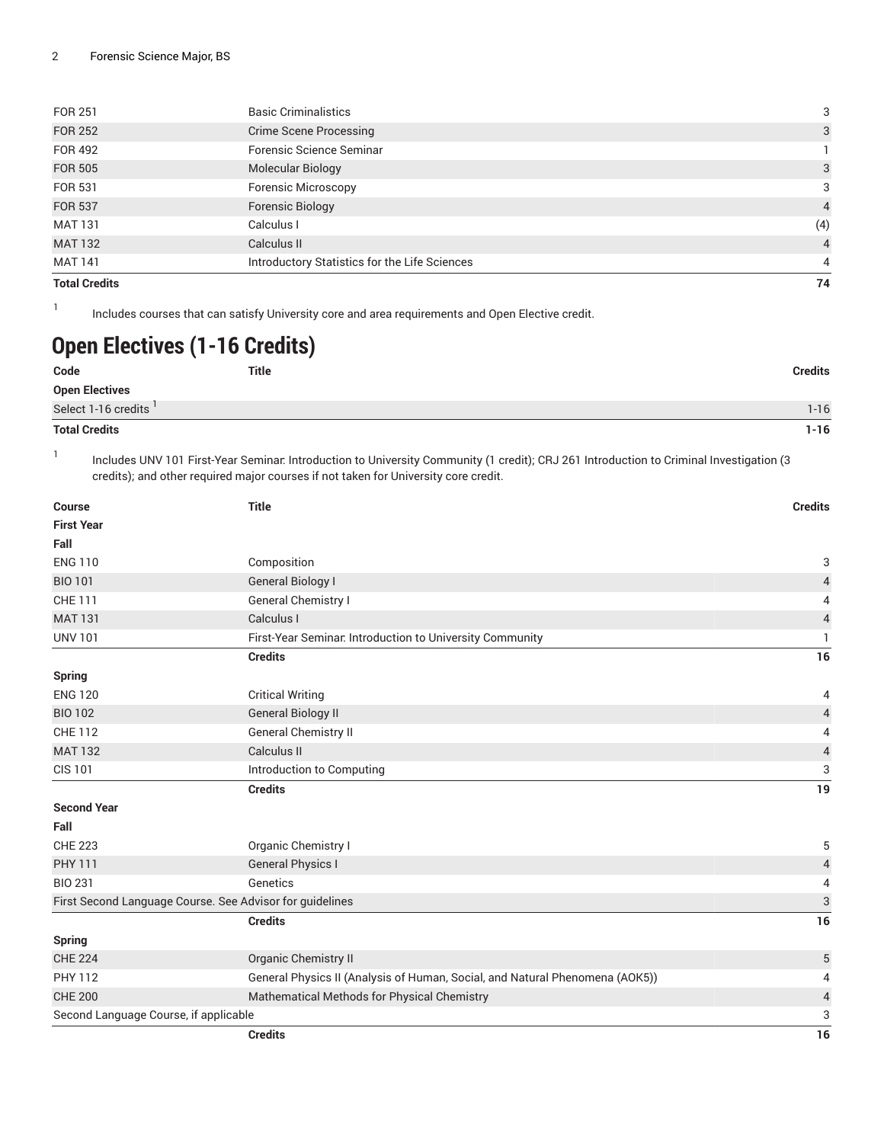| <b>FOR 251</b>       | <b>Basic Criminalistics</b>                   | 3              |
|----------------------|-----------------------------------------------|----------------|
| <b>FOR 252</b>       | <b>Crime Scene Processing</b>                 | 3              |
| FOR 492              | Forensic Science Seminar                      |                |
| <b>FOR 505</b>       | <b>Molecular Biology</b>                      | 3              |
| <b>FOR 531</b>       | <b>Forensic Microscopy</b>                    | 3              |
| <b>FOR 537</b>       | Forensic Biology                              | $\overline{4}$ |
| <b>MAT 131</b>       | Calculus I                                    | (4)            |
| <b>MAT 132</b>       | Calculus II                                   | $\overline{4}$ |
| MAT 141              | Introductory Statistics for the Life Sciences | 4              |
| <b>Total Credits</b> |                                               | 74             |

Includes courses that can satisfy University core and area requirements and Open Elective credit.

### **Open Electives (1-16 Credits)**

1

| Code                             | <b>Title</b> | <b>Credits</b> |
|----------------------------------|--------------|----------------|
| <b>Open Electives</b>            |              |                |
| Select 1-16 credits <sup>1</sup> |              | 1-16           |
| <b>Total Credits</b>             |              | $1 - 16$       |

1 Includes UNV 101 First-Year Seminar: Introduction to University Community (1 credit); CRJ 261 Introduction to Criminal Investigation (3 credits); and other required major courses if not taken for University core credit.

| Course                                | <b>Title</b>                                                                 |                           |  |
|---------------------------------------|------------------------------------------------------------------------------|---------------------------|--|
| <b>First Year</b>                     |                                                                              |                           |  |
| Fall                                  |                                                                              |                           |  |
| <b>ENG 110</b>                        | Composition                                                                  | 3                         |  |
| <b>BIO 101</b>                        | <b>General Biology I</b>                                                     | $\sqrt{4}$                |  |
| CHE 111                               | General Chemistry I                                                          |                           |  |
| <b>MAT 131</b>                        | Calculus I                                                                   |                           |  |
| <b>UNV 101</b>                        | First-Year Seminar. Introduction to University Community                     | $\mathbf{1}$              |  |
|                                       | <b>Credits</b>                                                               | 16                        |  |
| <b>Spring</b>                         |                                                                              |                           |  |
| <b>ENG 120</b>                        | <b>Critical Writing</b>                                                      | 4                         |  |
| <b>BIO 102</b>                        | <b>General Biology II</b>                                                    | $\sqrt{4}$                |  |
| <b>CHE 112</b>                        | General Chemistry II                                                         | 4                         |  |
| <b>MAT 132</b>                        | Calculus II                                                                  | $\sqrt{4}$                |  |
| <b>CIS 101</b>                        | Introduction to Computing                                                    | 3                         |  |
|                                       | <b>Credits</b>                                                               | 19                        |  |
| <b>Second Year</b>                    |                                                                              |                           |  |
| Fall                                  |                                                                              |                           |  |
| <b>CHE 223</b>                        | Organic Chemistry I                                                          | 5                         |  |
| <b>PHY 111</b>                        | <b>General Physics I</b>                                                     | $\overline{4}$            |  |
| <b>BIO 231</b>                        | Genetics                                                                     | 4                         |  |
|                                       | First Second Language Course. See Advisor for guidelines                     | $\ensuremath{\mathsf{3}}$ |  |
|                                       | <b>Credits</b>                                                               | 16                        |  |
| <b>Spring</b>                         |                                                                              |                           |  |
| <b>CHE 224</b>                        | Organic Chemistry II                                                         | $\sqrt{5}$                |  |
| <b>PHY 112</b>                        | General Physics II (Analysis of Human, Social, and Natural Phenomena (AOK5)) | 4                         |  |
| <b>CHE 200</b>                        | Mathematical Methods for Physical Chemistry                                  | $\overline{4}$            |  |
| Second Language Course, if applicable |                                                                              | 3                         |  |
|                                       | <b>Credits</b>                                                               | 16                        |  |